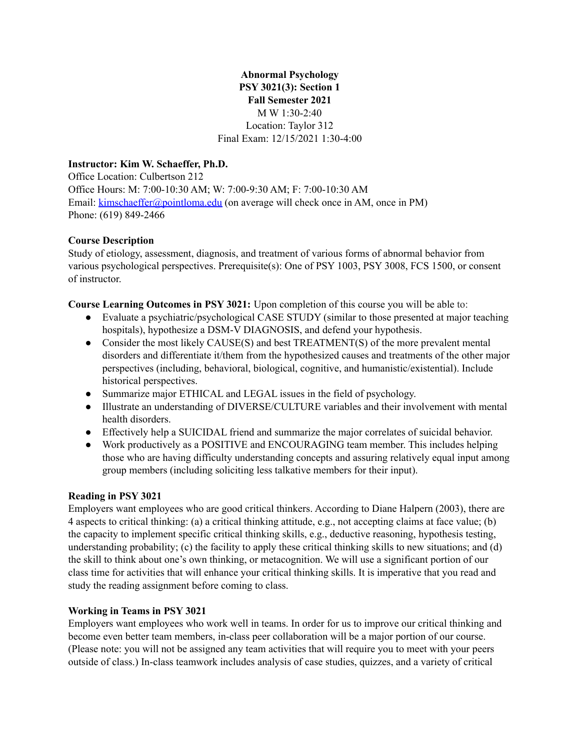**Abnormal Psychology PSY 3021(3): Section 1 Fall Semester 2021** M W 1:30-2:40 Location: Taylor 312 Final Exam: 12/15/2021 1:30-4:00

#### **Instructor: Kim W. Schaeffer, Ph.D.**

Office Location: Culbertson 212 Office Hours: M: 7:00-10:30 AM; W: 7:00-9:30 AM; F: 7:00-10:30 AM Email: [kimschaeffer@pointloma.edu](mailto:kimschaeffer@pointloma.edu) (on average will check once in AM, once in PM) Phone: (619) 849-2466

#### **Course Description**

Study of etiology, assessment, diagnosis, and treatment of various forms of abnormal behavior from various psychological perspectives. Prerequisite(s): One of PSY 1003, PSY 3008, FCS 1500, or consent of instructor.

**Course Learning Outcomes in PSY 3021:** Upon completion of this course you will be able to:

- Evaluate a psychiatric/psychological CASE STUDY (similar to those presented at major teaching hospitals), hypothesize a DSM-V DIAGNOSIS, and defend your hypothesis.
- Consider the most likely CAUSE(S) and best TREATMENT(S) of the more prevalent mental disorders and differentiate it/them from the hypothesized causes and treatments of the other major perspectives (including, behavioral, biological, cognitive, and humanistic/existential). Include historical perspectives.
- Summarize major ETHICAL and LEGAL issues in the field of psychology.
- Illustrate an understanding of DIVERSE/CULTURE variables and their involvement with mental health disorders.
- Effectively help a SUICIDAL friend and summarize the major correlates of suicidal behavior.
- Work productively as a POSITIVE and ENCOURAGING team member. This includes helping those who are having difficulty understanding concepts and assuring relatively equal input among group members (including soliciting less talkative members for their input).

#### **Reading in PSY 3021**

Employers want employees who are good critical thinkers. According to Diane Halpern (2003), there are 4 aspects to critical thinking: (a) a critical thinking attitude, e.g., not accepting claims at face value; (b) the capacity to implement specific critical thinking skills, e.g., deductive reasoning, hypothesis testing, understanding probability; (c) the facility to apply these critical thinking skills to new situations; and (d) the skill to think about one's own thinking, or metacognition. We will use a significant portion of our class time for activities that will enhance your critical thinking skills. It is imperative that you read and study the reading assignment before coming to class.

### **Working in Teams in PSY 3021**

Employers want employees who work well in teams. In order for us to improve our critical thinking and become even better team members, in-class peer collaboration will be a major portion of our course. (Please note: you will not be assigned any team activities that will require you to meet with your peers outside of class.) In-class teamwork includes analysis of case studies, quizzes, and a variety of critical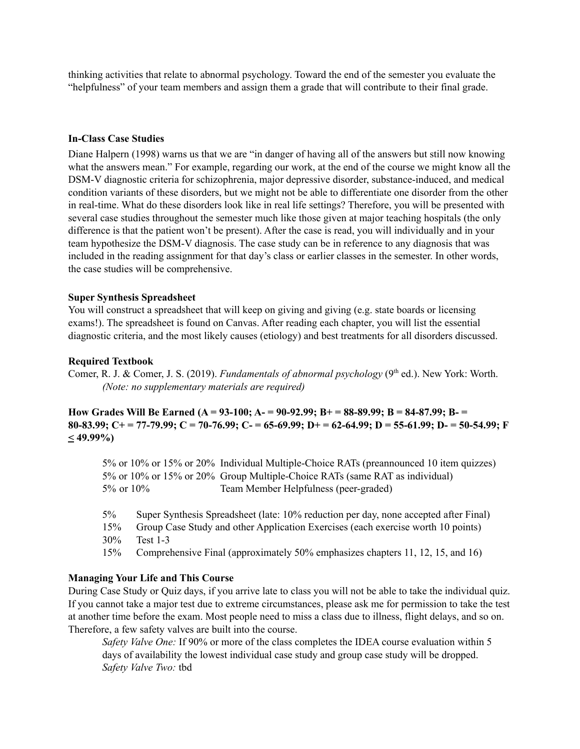thinking activities that relate to abnormal psychology. Toward the end of the semester you evaluate the "helpfulness" of your team members and assign them a grade that will contribute to their final grade.

#### **In-Class Case Studies**

Diane Halpern (1998) warns us that we are "in danger of having all of the answers but still now knowing what the answers mean." For example, regarding our work, at the end of the course we might know all the DSM-V diagnostic criteria for schizophrenia, major depressive disorder, substance-induced, and medical condition variants of these disorders, but we might not be able to differentiate one disorder from the other in real-time. What do these disorders look like in real life settings? Therefore, you will be presented with several case studies throughout the semester much like those given at major teaching hospitals (the only difference is that the patient won't be present). After the case is read, you will individually and in your team hypothesize the DSM-V diagnosis. The case study can be in reference to any diagnosis that was included in the reading assignment for that day's class or earlier classes in the semester. In other words, the case studies will be comprehensive.

#### **Super Synthesis Spreadsheet**

You will construct a spreadsheet that will keep on giving and giving (e.g. state boards or licensing exams!). The spreadsheet is found on Canvas. After reading each chapter, you will list the essential diagnostic criteria, and the most likely causes (etiology) and best treatments for all disorders discussed.

#### **Required Textbook**

Comer, R. J. & Comer, J. S. (2019). *Fundamentals of abnormal psychology* (9<sup>th</sup> ed.). New York: Worth. *(Note: no supplementary materials are required)*

**How Grades Will Be Earned (A = 93-100; A- = 90-92.99; B+ = 88-89.99; B = 84-87.99; B- =** 80-83.99; C+ = 77-79.99; C = 70-76.99; C- = 65-69.99; D+ = 62-64.99; D = 55-61.99; D- = 50-54.99; F **< 49.99%)**

5% or 10% or 15% or 20% Individual Multiple-Choice RATs (preannounced 10 item quizzes) 5% or 10% or 15% or 20% Group Multiple-Choice RATs (same RAT as individual) 5% or 10% Team Member Helpfulness (peer-graded)

5% Super Synthesis Spreadsheet (late: 10% reduction per day, none accepted after Final)

- 15% Group Case Study and other Application Exercises (each exercise worth 10 points) 30% Test 1-3
- 15% Comprehensive Final (approximately 50% emphasizes chapters 11, 12, 15, and 16)

#### **Managing Your Life and This Course**

During Case Study or Quiz days, if you arrive late to class you will not be able to take the individual quiz. If you cannot take a major test due to extreme circumstances, please ask me for permission to take the test at another time before the exam. Most people need to miss a class due to illness, flight delays, and so on. Therefore, a few safety valves are built into the course.

*Safety Valve One:* If 90% or more of the class completes the IDEA course evaluation within 5 days of availability the lowest individual case study and group case study will be dropped. *Safety Valve Two:* tbd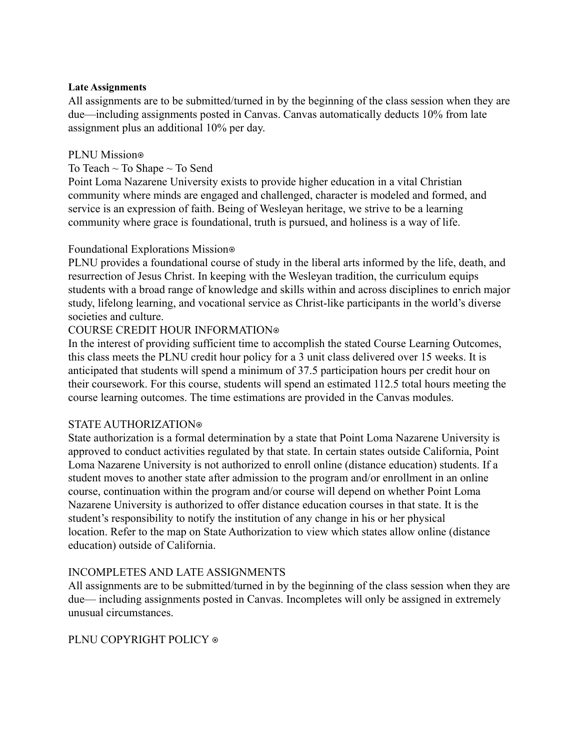#### **Late Assignments**

All assignments are to be submitted/turned in by the beginning of the class session when they are due—including assignments posted in Canvas. Canvas automatically deducts 10% from late assignment plus an additional 10% per day.

## PLNU Mission<sup>®</sup>

## To Teach  $\sim$  To Shape  $\sim$  To Send

Point Loma Nazarene University exists to provide higher education in a vital Christian community where minds are engaged and challenged, character is modeled and formed, and service is an expression of faith. Being of Wesleyan heritage, we strive to be a learning community where grace is foundational, truth is pursued, and holiness is a way of life.

### Foundational Explorations Mission⊕

PLNU provides a foundational course of study in the liberal arts informed by the life, death, and resurrection of Jesus Christ. In keeping with the Wesleyan tradition, the curriculum equips students with a broad range of knowledge and skills within and across disciplines to enrich major study, lifelong learning, and vocational service as Christ-like participants in the world's diverse societies and culture.

## COURSE CREDIT HOUR INFORMATION®

In the interest of providing sufficient time to accomplish the stated Course Learning Outcomes, this class meets the PLNU credit hour policy for a 3 unit class delivered over 15 weeks. It is anticipated that students will spend a minimum of 37.5 participation hours per credit hour on their coursework. For this course, students will spend an estimated 112.5 total hours meeting the course learning outcomes. The time estimations are provided in the Canvas modules.

### STATE AUTHORIZATION⍟

State authorization is a formal determination by a state that Point Loma Nazarene University is approved to conduct activities regulated by that state. In certain states outside California, Point Loma Nazarene University is not authorized to enroll online (distance education) students. If a student moves to another state after admission to the program and/or enrollment in an online course, continuation within the program and/or course will depend on whether Point Loma Nazarene University is authorized to offer distance education courses in that state. It is the student's responsibility to notify the institution of any change in his or her physical location. Refer to the map on State Authorization to view which states allow online (distance education) outside of California.

# INCOMPLETES AND LATE ASSIGNMENTS

All assignments are to be submitted/turned in by the beginning of the class session when they are due— including assignments posted in Canvas. Incompletes will only be assigned in extremely unusual circumstances.

### PLNU COPYRIGHT POLICY ⊕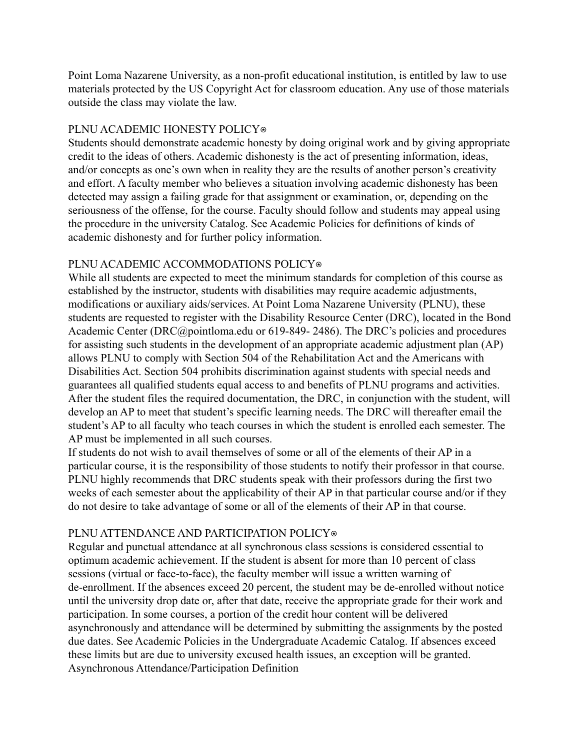Point Loma Nazarene University, as a non-profit educational institution, is entitled by law to use materials protected by the US Copyright Act for classroom education. Any use of those materials outside the class may violate the law.

## PLNU ACADEMIC HONESTY POLICY®

Students should demonstrate academic honesty by doing original work and by giving appropriate credit to the ideas of others. Academic dishonesty is the act of presenting information, ideas, and/or concepts as one's own when in reality they are the results of another person's creativity and effort. A faculty member who believes a situation involving academic dishonesty has been detected may assign a failing grade for that assignment or examination, or, depending on the seriousness of the offense, for the course. Faculty should follow and students may appeal using the procedure in the university Catalog. See Academic Policies for definitions of kinds of academic dishonesty and for further policy information.

# PLNU ACADEMIC ACCOMMODATIONS POLICY®

While all students are expected to meet the minimum standards for completion of this course as established by the instructor, students with disabilities may require academic adjustments, modifications or auxiliary aids/services. At Point Loma Nazarene University (PLNU), these students are requested to register with the Disability Resource Center (DRC), located in the Bond Academic Center (DRC@pointloma.edu or 619-849- 2486). The DRC's policies and procedures for assisting such students in the development of an appropriate academic adjustment plan (AP) allows PLNU to comply with Section 504 of the Rehabilitation Act and the Americans with Disabilities Act. Section 504 prohibits discrimination against students with special needs and guarantees all qualified students equal access to and benefits of PLNU programs and activities. After the student files the required documentation, the DRC, in conjunction with the student, will develop an AP to meet that student's specific learning needs. The DRC will thereafter email the student's AP to all faculty who teach courses in which the student is enrolled each semester. The AP must be implemented in all such courses.

If students do not wish to avail themselves of some or all of the elements of their AP in a particular course, it is the responsibility of those students to notify their professor in that course. PLNU highly recommends that DRC students speak with their professors during the first two weeks of each semester about the applicability of their AP in that particular course and/or if they do not desire to take advantage of some or all of the elements of their AP in that course.

# PLNU ATTENDANCE AND PARTICIPATION POLICY®

Regular and punctual attendance at all synchronous class sessions is considered essential to optimum academic achievement. If the student is absent for more than 10 percent of class sessions (virtual or face-to-face), the faculty member will issue a written warning of de-enrollment. If the absences exceed 20 percent, the student may be de-enrolled without notice until the university drop date or, after that date, receive the appropriate grade for their work and participation. In some courses, a portion of the credit hour content will be delivered asynchronously and attendance will be determined by submitting the assignments by the posted due dates. See Academic Policies in the Undergraduate Academic Catalog. If absences exceed these limits but are due to university excused health issues, an exception will be granted. Asynchronous Attendance/Participation Definition